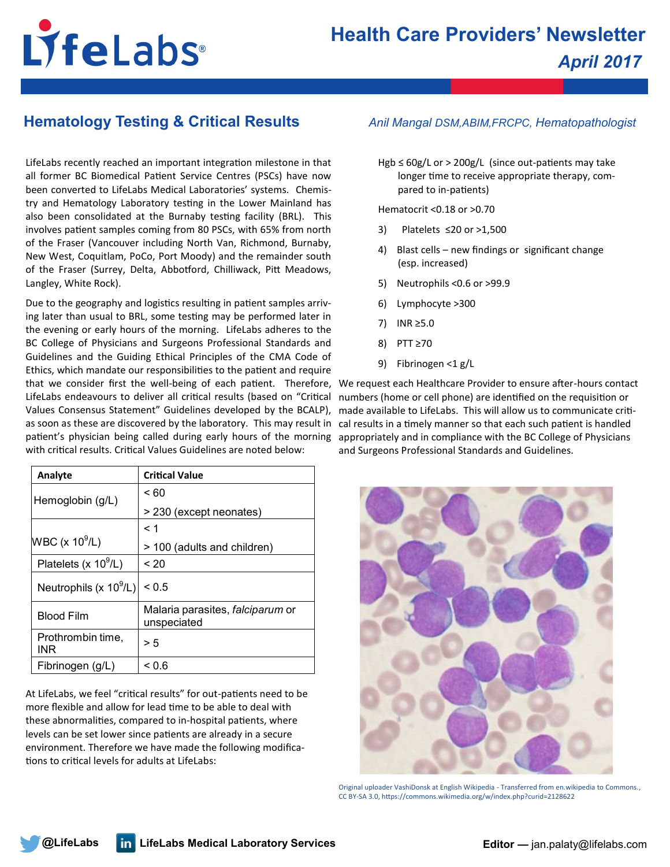# LifeLabs®

## **Hematology Testing & Critical Results** *Anil Mangal DSM,ABIM,FRCPC, Hematopathologist*

LifeLabs recently reached an important integration milestone in that all former BC Biomedical Patient Service Centres (PSCs) have now been converted to LifeLabs Medical Laboratories' systems. Chemistry and Hematology Laboratory testing in the Lower Mainland has also been consolidated at the Burnaby testing facility (BRL). This involves patient samples coming from 80 PSCs, with 65% from north of the Fraser (Vancouver including North Van, Richmond, Burnaby, New West, Coquitlam, PoCo, Port Moody) and the remainder south of the Fraser (Surrey, Delta, Abbotford, Chilliwack, Pitt Meadows, Langley, White Rock).

Due to the geography and logistics resulting in patient samples arriving later than usual to BRL, some testing may be performed later in the evening or early hours of the morning. LifeLabs adheres to the BC College of Physicians and Surgeons Professional Standards and Guidelines and the Guiding Ethical Principles of the CMA Code of Ethics, which mandate our responsibilities to the patient and require that we consider first the well-being of each patient. Therefore, We request each Healthcare Provider to ensure after-hours contact LifeLabs endeavours to deliver all critical results (based on "Critical Values Consensus Statement" Guidelines developed by the BCALP), made available to LifeLabs. This will allow us to communicate critias soon as these are discovered by the laboratory. This may result in cal results in a timely manner so that each such patient is handled patient's physician being called during early hours of the morning with critical results. Critical Values Guidelines are noted below:

| Analyte                      | <b>Critical Value</b>                                  |
|------------------------------|--------------------------------------------------------|
| Hemoglobin (g/L)             | < 60                                                   |
|                              | > 230 (except neonates)                                |
|                              | < 1                                                    |
| $WBC$ (x 10 <sup>9</sup> /L) | > 100 (adults and children)                            |
| Platelets (x $10^9$ /L)      | < 20                                                   |
| Neutrophils (x $10^9$ /L)    | ${}_{0.5}$                                             |
| <b>Blood Film</b>            | Malaria parasites, <i>falciparum</i> or<br>unspeciated |
| Prothrombin time,<br>INR     | > 5                                                    |
| Fibrinogen (g/L)             | ~< 0.6                                                 |

At LifeLabs, we feel "critical results" for out-patients need to be more flexible and allow for lead time to be able to deal with these abnormalities, compared to in-hospital patients, where levels can be set lower since patients are already in a secure environment. Therefore we have made the following modifications to critical levels for adults at LifeLabs:

Hgb ≤ 60g/L or > 200g/L (since out-patients may take longer time to receive appropriate therapy, compared to in-patients)

Hematocrit <0.18 or >0.70

- 3) Platelets ≤20 or >1,500
- 4) Blast cells new findings or significant change (esp. increased)
- 5) Neutrophils <0.6 or >99.9
- 6) Lymphocyte >300
- 7) INR ≥5.0
- 8) PTT ≥70
- 9) Fibrinogen <1 g/L

numbers (home or cell phone) are identified on the requisition or appropriately and in compliance with the BC College of Physicians and Surgeons Professional Standards and Guidelines.



Original uploader VashiDonsk at English Wikipedia - Transferred from en.wikipedia to Commons., CC BY-SA 3.0, https://commons.wikimedia.org/w/index.php?curid=2128622